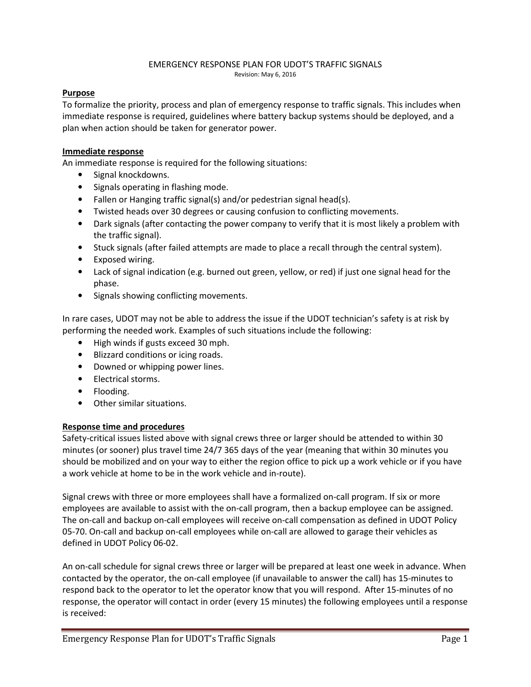#### EMERGENCY RESPONSE PLAN FOR UDOT'S TRAFFIC SIGNALS Revision: May 6, 2016

#### Purpose

To formalize the priority, process and plan of emergency response to traffic signals. This includes when immediate response is required, guidelines where battery backup systems should be deployed, and a plan when action should be taken for generator power.

#### Immediate response

An immediate response is required for the following situations:

- Signal knockdowns.
- Signals operating in flashing mode.
- Fallen or Hanging traffic signal(s) and/or pedestrian signal head(s).
- Twisted heads over 30 degrees or causing confusion to conflicting movements.
- Dark signals (after contacting the power company to verify that it is most likely a problem with the traffic signal).
- Stuck signals (after failed attempts are made to place a recall through the central system).
- Exposed wiring.
- Lack of signal indication (e.g. burned out green, yellow, or red) if just one signal head for the phase.
- Signals showing conflicting movements.

In rare cases, UDOT may not be able to address the issue if the UDOT technician's safety is at risk by performing the needed work. Examples of such situations include the following:

- High winds if gusts exceed 30 mph.
- Blizzard conditions or icing roads.
- Downed or whipping power lines.
- Electrical storms.
- Flooding.
- Other similar situations.

#### Response time and procedures

Safety-critical issues listed above with signal crews three or larger should be attended to within 30 minutes (or sooner) plus travel time 24/7 365 days of the year (meaning that within 30 minutes you should be mobilized and on your way to either the region office to pick up a work vehicle or if you have a work vehicle at home to be in the work vehicle and in-route).

Signal crews with three or more employees shall have a formalized on-call program. If six or more employees are available to assist with the on-call program, then a backup employee can be assigned. The on-call and backup on-call employees will receive on-call compensation as defined in UDOT Policy 05-70. On-call and backup on-call employees while on-call are allowed to garage their vehicles as defined in UDOT Policy 06-02.

An on-call schedule for signal crews three or larger will be prepared at least one week in advance. When contacted by the operator, the on-call employee (if unavailable to answer the call) has 15-minutes to respond back to the operator to let the operator know that you will respond. After 15-minutes of no response, the operator will contact in order (every 15 minutes) the following employees until a response is received: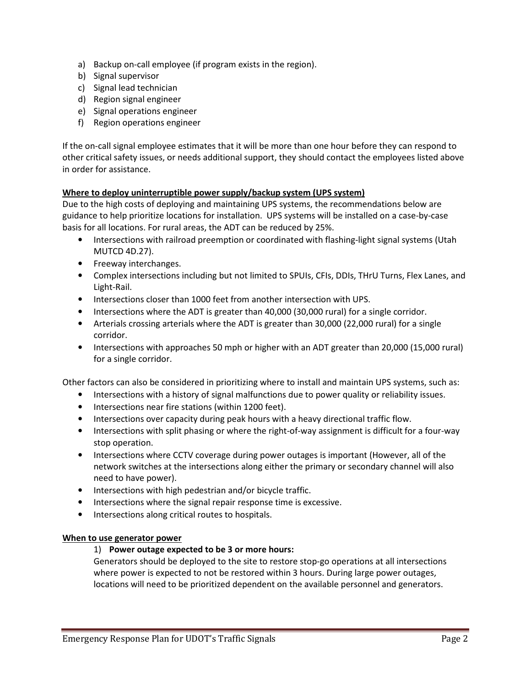- a) Backup on-call employee (if program exists in the region).
- b) Signal supervisor
- c) Signal lead technician
- d) Region signal engineer
- e) Signal operations engineer
- f) Region operations engineer

If the on-call signal employee estimates that it will be more than one hour before they can respond to other critical safety issues, or needs additional support, they should contact the employees listed above in order for assistance.

## Where to deploy uninterruptible power supply/backup system (UPS system)

Due to the high costs of deploying and maintaining UPS systems, the recommendations below are guidance to help prioritize locations for installation. UPS systems will be installed on a case-by-case basis for all locations. For rural areas, the ADT can be reduced by 25%.

- Intersections with railroad preemption or coordinated with flashing-light signal systems (Utah MUTCD 4D.27).
- Freeway interchanges.
- Complex intersections including but not limited to SPUIs, CFIs, DDIs, THrU Turns, Flex Lanes, and Light-Rail.
- Intersections closer than 1000 feet from another intersection with UPS.
- Intersections where the ADT is greater than 40,000 (30,000 rural) for a single corridor.
- Arterials crossing arterials where the ADT is greater than 30,000 (22,000 rural) for a single corridor.
- Intersections with approaches 50 mph or higher with an ADT greater than 20,000 (15,000 rural) for a single corridor.

Other factors can also be considered in prioritizing where to install and maintain UPS systems, such as:

- Intersections with a history of signal malfunctions due to power quality or reliability issues.
- Intersections near fire stations (within 1200 feet).
- Intersections over capacity during peak hours with a heavy directional traffic flow.
- Intersections with split phasing or where the right-of-way assignment is difficult for a four-way stop operation.
- Intersections where CCTV coverage during power outages is important (However, all of the network switches at the intersections along either the primary or secondary channel will also need to have power).
- Intersections with high pedestrian and/or bicycle traffic.
- Intersections where the signal repair response time is excessive.
- Intersections along critical routes to hospitals.

#### When to use generator power

### 1) Power outage expected to be 3 or more hours:

Generators should be deployed to the site to restore stop-go operations at all intersections where power is expected to not be restored within 3 hours. During large power outages, locations will need to be prioritized dependent on the available personnel and generators.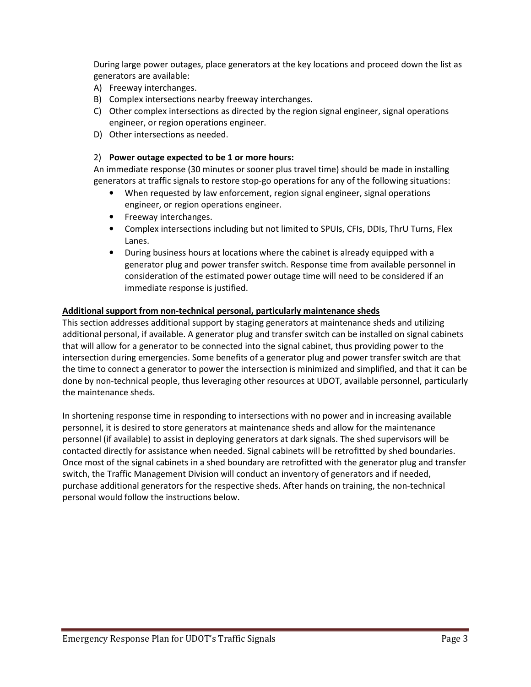During large power outages, place generators at the key locations and proceed down the list as generators are available:

- A) Freeway interchanges.
- B) Complex intersections nearby freeway interchanges.
- C) Other complex intersections as directed by the region signal engineer, signal operations engineer, or region operations engineer.
- D) Other intersections as needed.

#### 2) Power outage expected to be 1 or more hours:

An immediate response (30 minutes or sooner plus travel time) should be made in installing generators at traffic signals to restore stop-go operations for any of the following situations:

- When requested by law enforcement, region signal engineer, signal operations engineer, or region operations engineer.
- Freeway interchanges.
- Complex intersections including but not limited to SPUIs, CFIs, DDIs, ThrU Turns, Flex Lanes.
- During business hours at locations where the cabinet is already equipped with a generator plug and power transfer switch. Response time from available personnel in consideration of the estimated power outage time will need to be considered if an immediate response is justified.

#### Additional support from non-technical personal, particularly maintenance sheds

This section addresses additional support by staging generators at maintenance sheds and utilizing additional personal, if available. A generator plug and transfer switch can be installed on signal cabinets that will allow for a generator to be connected into the signal cabinet, thus providing power to the intersection during emergencies. Some benefits of a generator plug and power transfer switch are that the time to connect a generator to power the intersection is minimized and simplified, and that it can be done by non-technical people, thus leveraging other resources at UDOT, available personnel, particularly the maintenance sheds.

In shortening response time in responding to intersections with no power and in increasing available personnel, it is desired to store generators at maintenance sheds and allow for the maintenance personnel (if available) to assist in deploying generators at dark signals. The shed supervisors will be contacted directly for assistance when needed. Signal cabinets will be retrofitted by shed boundaries. Once most of the signal cabinets in a shed boundary are retrofitted with the generator plug and transfer switch, the Traffic Management Division will conduct an inventory of generators and if needed, purchase additional generators for the respective sheds. After hands on training, the non-technical personal would follow the instructions below.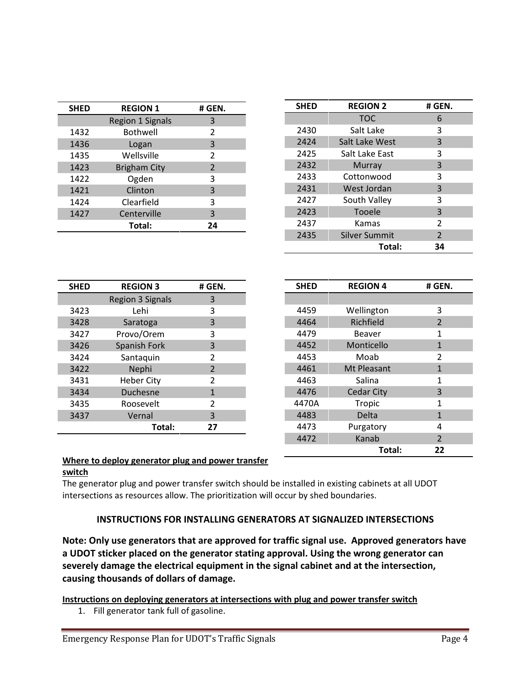| <b>SHED</b> | <b>REGION 1</b>         | # GEN. |
|-------------|-------------------------|--------|
|             | <b>Region 1 Signals</b> | 3      |
| 1432        | <b>Bothwell</b>         | 2      |
| 1436        | Logan                   | 3      |
| 1435        | Wellsville              | 2      |
| 1423        | <b>Brigham City</b>     | 2      |
| 1422        | Ogden                   | 3      |
| 1421        | Clinton                 | 3      |
| 1424        | Clearfield              | 3      |
| 1427        | Centerville             | 3      |
|             | Total:                  | 24     |

| <b>SHED</b> | <b>REGION 2</b> | # GEN. |
|-------------|-----------------|--------|
|             | <b>TOC</b>      | 6      |
| 2430        | Salt Lake       | 3      |
| 2424        | Salt Lake West  | 3      |
| 2425        | Salt Lake East  | 3      |
| 2432        | <b>Murray</b>   | 3      |
| 2433        | Cottonwood      | 3      |
| 2431        | West Jordan     | 3      |
| 2427        | South Valley    | 3      |
| 2423        | Tooele          | 3      |
| 2437        | Kamas           | 2      |
| 2435        | Silver Summit   | 2      |
|             | Total:          | 34     |

| <b>SHED</b> | <b>REGION 3</b>         | # GEN. |
|-------------|-------------------------|--------|
|             | <b>Region 3 Signals</b> | 3      |
| 3423        | Lehi                    | 3      |
| 3428        | Saratoga                | 3      |
| 3427        | Provo/Orem              | 3      |
| 3426        | <b>Spanish Fork</b>     | 3      |
| 3424        | Santaquin               | 2      |
| 3422        | Nephi                   | 2      |
| 3431        | <b>Heber City</b>       | 2      |
| 3434        | <b>Duchesne</b>         | 1      |
| 3435        | Roosevelt               | 2      |
| 3437        | Vernal                  | 3      |
|             | Total:                  | 27     |

| <b>SHED</b> | <b>REGION 4</b>   | # GEN.         |
|-------------|-------------------|----------------|
|             |                   |                |
| 4459        | Wellington        | 3              |
| 4464        | Richfield         | $\overline{2}$ |
| 4479        | Beaver            | 1              |
| 4452        | Monticello        | 1              |
| 4453        | Moab              | 2              |
| 4461        | Mt Pleasant       | 1              |
| 4463        | Salina            | 1              |
| 4476        | <b>Cedar City</b> | 3              |
| 4470A       | Tropic            | 1              |
| 4483        | Delta             | 1              |
| 4473        | Purgatory         | 4              |
| 4472        | Kanab             | $\overline{2}$ |
|             | Total:            | 22             |

## Where to deploy generator plug and power transfer

#### switch

The generator plug and power transfer switch should be installed in existing cabinets at all UDOT intersections as resources allow. The prioritization will occur by shed boundaries.

## INSTRUCTIONS FOR INSTALLING GENERATORS AT SIGNALIZED INTERSECTIONS

Note: Only use generators that are approved for traffic signal use. Approved generators have a UDOT sticker placed on the generator stating approval. Using the wrong generator can severely damage the electrical equipment in the signal cabinet and at the intersection, causing thousands of dollars of damage.

## Instructions on deploying generators at intersections with plug and power transfer switch

1. Fill generator tank full of gasoline.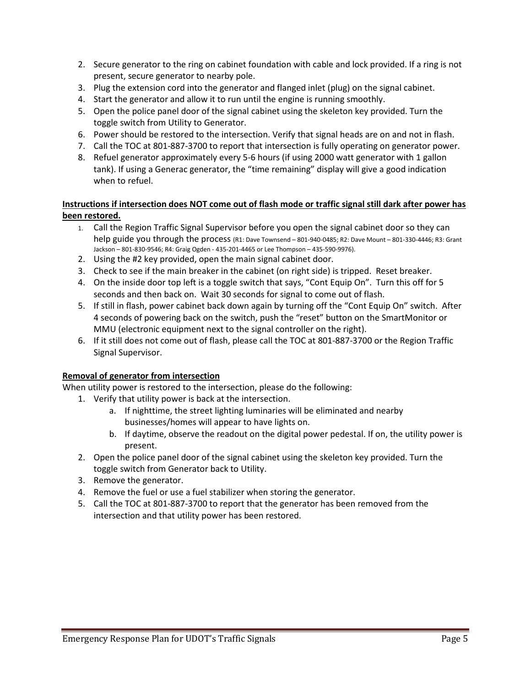- 2. Secure generator to the ring on cabinet foundation with cable and lock provided. If a ring is not present, secure generator to nearby pole.
- 3. Plug the extension cord into the generator and flanged inlet (plug) on the signal cabinet.
- 4. Start the generator and allow it to run until the engine is running smoothly.
- 5. Open the police panel door of the signal cabinet using the skeleton key provided. Turn the toggle switch from Utility to Generator.
- 6. Power should be restored to the intersection. Verify that signal heads are on and not in flash.
- 7. Call the TOC at 801-887-3700 to report that intersection is fully operating on generator power.
- 8. Refuel generator approximately every 5-6 hours (if using 2000 watt generator with 1 gallon tank). If using a Generac generator, the "time remaining" display will give a good indication when to refuel.

## Instructions if intersection does NOT come out of flash mode or traffic signal still dark after power has been restored.

- 1. Call the Region Traffic Signal Supervisor before you open the signal cabinet door so they can help guide you through the process (R1: Dave Townsend – 801-940-0485; R2: Dave Mount – 801-330-4446; R3: Grant Jackson – 801-830-9546; R4: Graig Ogden - 435-201-4465 or Lee Thompson – 435-590-9976).
- 2. Using the #2 key provided, open the main signal cabinet door.
- 3. Check to see if the main breaker in the cabinet (on right side) is tripped. Reset breaker.
- 4. On the inside door top left is a toggle switch that says, "Cont Equip On". Turn this off for 5 seconds and then back on. Wait 30 seconds for signal to come out of flash.
- 5. If still in flash, power cabinet back down again by turning off the "Cont Equip On" switch. After 4 seconds of powering back on the switch, push the "reset" button on the SmartMonitor or MMU (electronic equipment next to the signal controller on the right).
- 6. If it still does not come out of flash, please call the TOC at 801-887-3700 or the Region Traffic Signal Supervisor.

## Removal of generator from intersection

When utility power is restored to the intersection, please do the following:

- 1. Verify that utility power is back at the intersection.
	- a. If nighttime, the street lighting luminaries will be eliminated and nearby businesses/homes will appear to have lights on.
	- b. If daytime, observe the readout on the digital power pedestal. If on, the utility power is present.
- 2. Open the police panel door of the signal cabinet using the skeleton key provided. Turn the toggle switch from Generator back to Utility.
- 3. Remove the generator.
- 4. Remove the fuel or use a fuel stabilizer when storing the generator.
- 5. Call the TOC at 801-887-3700 to report that the generator has been removed from the intersection and that utility power has been restored.